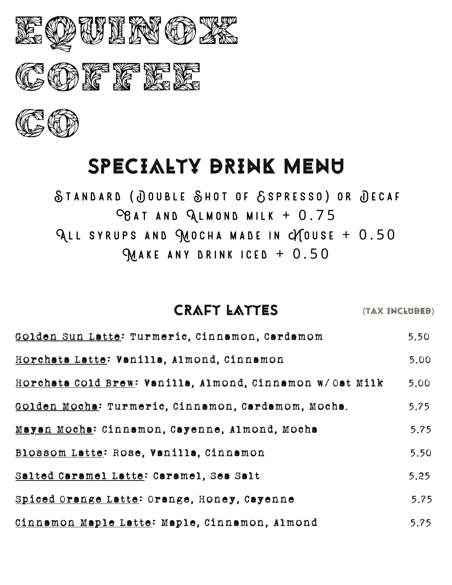

## SPECIALTY DRINK MENU

STANDARD (JOUBLE SHOT OF SSPRESSO) OR JECAF  $C_{\theta A}$  T AND  $Q_L$ MOND MILK + 0.75 ALL SYRUPS AND MOCHA MADE IN CYTOUSE +  $0.50$  $M$  A K E ANY DRINK ICED + 0.50

#### CRAFT LATTES (TAX ENCLUBED)

| Golden Sun Latte: Turmeric, Cinnamon, Cardamom           | 5.50 |
|----------------------------------------------------------|------|
| Horchata Latte: Vanilla, Almond, Cinnamon                | 5.00 |
| Horchata Cold Brew: Vanilla, Almond, Cinnamon w/Oat Milk | 5.00 |
| Golden Mocha: Turmeric, Cinnamon, Cardamom, Mocha.       | 5.75 |
| Mayan Mocha: Cinnamon, Cayenne, Almond, Mocha            | 5.75 |
| Blossom Latte: Rose, Vanilla, Cinnamon                   | 5.50 |
| Salted Caramel Latte: Caramel, Sea Salt                  | 5.25 |
| Spiced Orange Latte: Orange, Honey, Cayenne              | 5.75 |
| Cinnamon Maple Latte: Maple, Cinnamon, Almond            | 5.75 |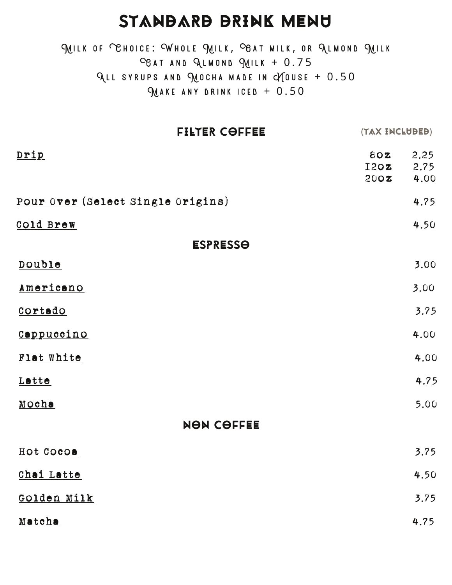### STANDARD DRINK MENU

MILK OF CHOICE: WHOLE MILK, CBAT MILK, OR ALMOND MILK  $C_{\beta A T}$  and QLMOND QUILK + 0.75 ALL SYRUPS AND MOCHA MADE IN CYTOUSE +  $0.50$  $M$  a k E ANY DRINK ICED + 0.50

|                                   | <b>FILTER COFFEE</b> | (TAX INCLUBEB)             |              |
|-----------------------------------|----------------------|----------------------------|--------------|
| <u>Drip</u>                       |                      | $80Z$ 2.25<br>I2OZ<br>200Z | 2.75<br>4.00 |
| Pour Over (Select Single Origins) |                      |                            | 4.75         |
| <u>Cold Brew</u>                  |                      |                            | 4.50         |
|                                   | <b>ESPRESSO</b>      |                            |              |
| Double                            |                      |                            | 3.00         |
| Americano                         |                      |                            | 3.00         |
| Cortado                           |                      |                            | 3.75         |
| Cappuccino                        |                      |                            | 4.00         |
| Flat White                        |                      |                            | 4.00         |
| Latte                             |                      |                            | 4.75         |
| Moche                             |                      |                            | 5.00         |
|                                   | <b>NON COFFEE</b>    |                            |              |
| Hot Cocos                         |                      |                            | 3.75         |
| Chai Latte                        |                      |                            | 4.50         |
| Golden Milk                       |                      |                            | 3.75         |
| Matcha                            |                      |                            | 4.75         |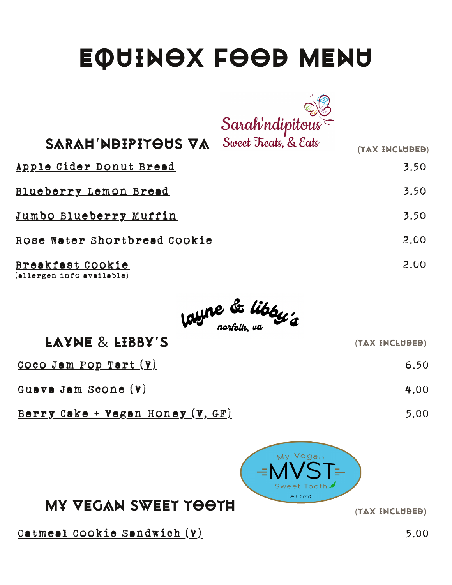# EQUINOX FOOD MENU



SARAH WOIPITOUS VA Sweet Treats, & Eats (TAX INCLUDED)

Apple Cider Donut Bread

Blueberry Lemon Bread

Jumbo Blueberry Muffin

Rose Water Shortbread Cookie

Breakfast Cookie  $(allergen$  info available)



| <b>EVAME &amp; FIBBA.2</b>               | (TAX INCLUBEB) |
|------------------------------------------|----------------|
| $\texttt{Coco Jam POP Tart}(\textbf{V})$ | 6.50           |
| Guava Jam Scone (V)                      | 4.00           |
|                                          |                |

 $\texttt{Berry}$  Cake + Vegan Honey (V, GF)



### MY VEGAN SWEET TOOTH (TAX ENCLUDED)

 $\texttt{Ootmee1 Cookie Sandwich(V)}$  5.00

5.00

3 . 5 0

3 . 5 0

3 . 5 0

2 . 0 0

2 . 0 0